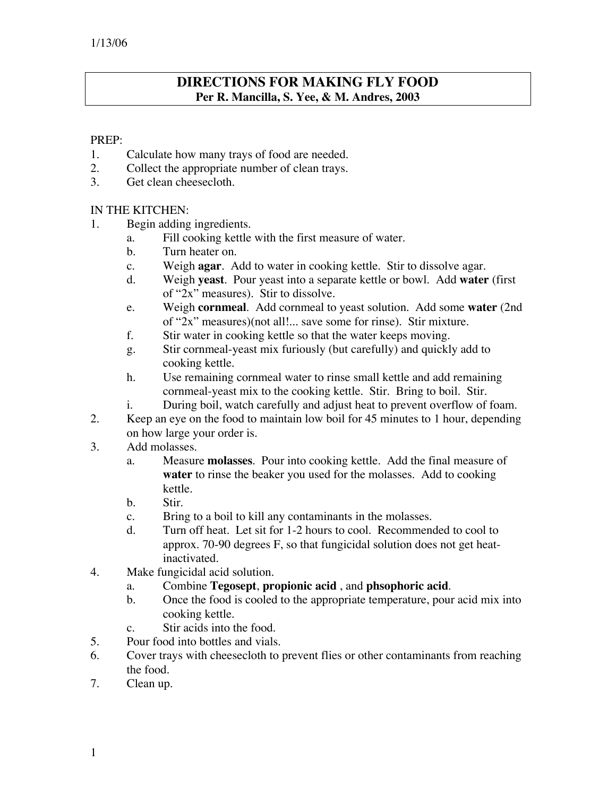# **DIRECTIONS FOR MAKING FLY FOOD Per R. Mancilla, S. Yee, & M. Andres, 2003**

### PREP:

- 1. Calculate how many trays of food are needed.
- 2. Collect the appropriate number of clean trays.
- 3. Get clean cheesecloth.

#### IN THE KITCHEN:

- 1. Begin adding ingredients.
	- a. Fill cooking kettle with the first measure of water.
	- b. Turn heater on.
	- c. Weigh **agar**. Add to water in cooking kettle. Stir to dissolve agar.
	- d. Weigh **yeast**. Pour yeast into a separate kettle or bowl. Add **water** (first of "2x" measures). Stir to dissolve.
	- e. Weigh **cornmeal**. Add cornmeal to yeast solution. Add some **water** (2nd of "2x" measures)(not all!... save some for rinse). Stir mixture.
	- f. Stir water in cooking kettle so that the water keeps moving.
	- g. Stir cornmeal-yeast mix furiously (but carefully) and quickly add to cooking kettle.
	- h. Use remaining cornmeal water to rinse small kettle and add remaining cornmeal-yeast mix to the cooking kettle. Stir. Bring to boil. Stir.
	- i. During boil, watch carefully and adjust heat to prevent overflow of foam.
- 2. Keep an eye on the food to maintain low boil for 45 minutes to 1 hour, depending on how large your order is.
- 3. Add molasses.
	- a. Measure **molasses**. Pour into cooking kettle. Add the final measure of **water** to rinse the beaker you used for the molasses. Add to cooking kettle.
	- b. Stir.
	- c. Bring to a boil to kill any contaminants in the molasses.
	- d. Turn off heat. Let sit for 1-2 hours to cool. Recommended to cool to approx. 70-90 degrees F, so that fungicidal solution does not get heatinactivated.
- 4. Make fungicidal acid solution.
	- a. Combine **Tegosept**, **propionic acid** , and **phsophoric acid**.
	- b. Once the food is cooled to the appropriate temperature, pour acid mix into cooking kettle.
	- c. Stir acids into the food.
- 5. Pour food into bottles and vials.
- 6. Cover trays with cheesecloth to prevent flies or other contaminants from reaching the food.
- 7. Clean up.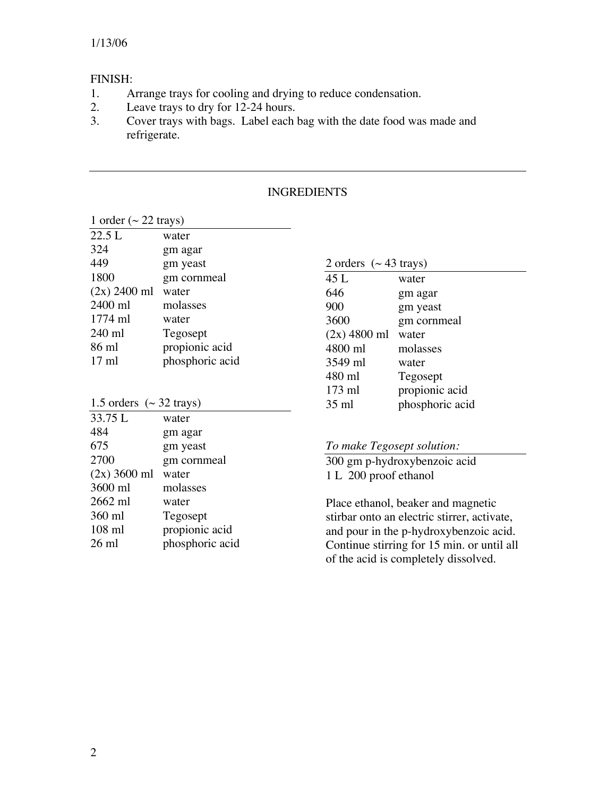## FINISH:

- 1. Arrange trays for cooling and drying to reduce condensation.
- 2. Leave trays to dry for 12-24 hours.
- 3. Cover trays with bags. Label each bag with the date food was made and refrigerate.

| 1 order ( $\sim$ 22 trays) |                 |  |
|----------------------------|-----------------|--|
| 22.5 L                     | water           |  |
| 324                        | gm agar         |  |
| 449                        | gm yeast        |  |
| 1800                       | gm cornmeal     |  |
| $(2x)$ 2400 ml             | water           |  |
| 2400 ml                    | molasses        |  |
| $1774$ ml                  | water           |  |
| 240 ml                     | Tegosept        |  |
| 86 ml                      | propionic acid  |  |
| $17 \text{ ml}$            | phosphoric acid |  |

| 2 orders $({\sim} 43 \text{ trays})$ |                 |
|--------------------------------------|-----------------|
| 45 L                                 | water           |
| 646                                  | gm agar         |
| 900                                  | gm yeast        |
| 3600                                 | gm cornmeal     |
| $(2x)$ 4800 ml                       | water           |
| 4800 ml                              | molasses        |
| 3549 ml                              | water           |
| 480 ml                               | Tegosept        |
| $173$ ml                             | propionic acid  |
| $35$ ml                              | phosphoric acid |

|         | 1.5 orders $({\sim} 32 \text{ trays})$ |
|---------|----------------------------------------|
| 33.75 L | water                                  |

| 484             | gm agar         |
|-----------------|-----------------|
| 675             | gm yeast        |
| 2700            | gm cornmeal     |
| $(2x)$ 3600 ml  | water           |
| 3600 ml         | molasses        |
| $2662$ ml       | water           |
| 360 ml          | Tegosept        |
| $108$ ml        | propionic acid  |
| $26 \text{ ml}$ | phosphoric acid |
|                 |                 |

#### *To make Tegosept solution:*

300 gm p-hydroxybenzoic acid 1 L 200 proof ethanol

Place ethanol, beaker and magnetic stirbar onto an electric stirrer, activate, and pour in the p-hydroxybenzoic acid. Continue stirring for 15 min. or until all of the acid is completely dissolved.